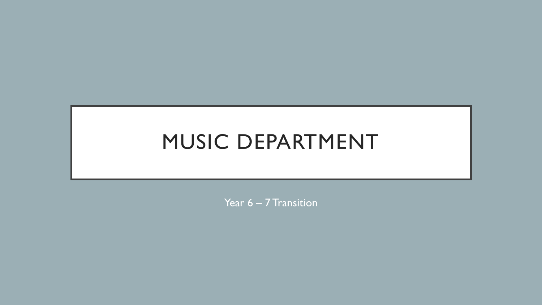## MUSIC DEPARTMENT

Year 6 – 7 Transition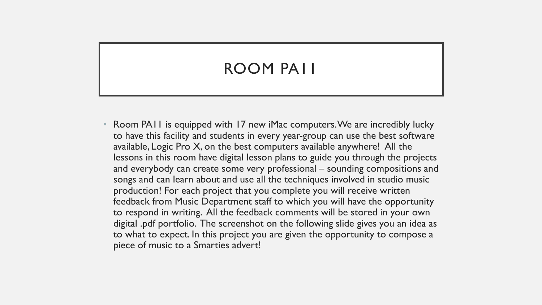## ROOM PA11

• Room PA11 is equipped with 17 new iMac computers. We are incredibly lucky to have this facility and students in every year-group can use the best software available, Logic Pro X, on the best computers available anywhere! All the lessons in this room have digital lesson plans to guide you through the projects and everybody can create some very professional – sounding compositions and songs and can learn about and use all the techniques involved in studio music production! For each project that you complete you will receive written feedback from Music Department staff to which you will have the opportunity to respond in writing. All the feedback comments will be stored in your own digital .pdf portfolio. The screenshot on the following slide gives you an idea as to what to expect. In this project you are given the opportunity to compose a piece of music to a Smarties advert!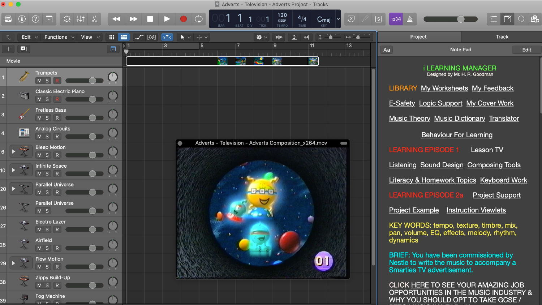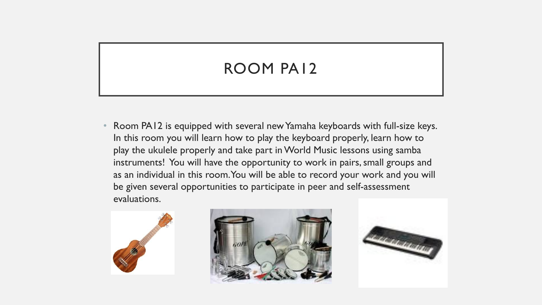## ROOM PA12

• Room PA12 is equipped with several new Yamaha keyboards with full-size keys. In this room you will learn how to play the keyboard properly, learn how to play the ukulele properly and take part in World Music lessons using samba instruments! You will have the opportunity to work in pairs, small groups and as an individual in this room. You will be able to record your work and you will be given several opportunities to participate in peer and self-assessment evaluations.